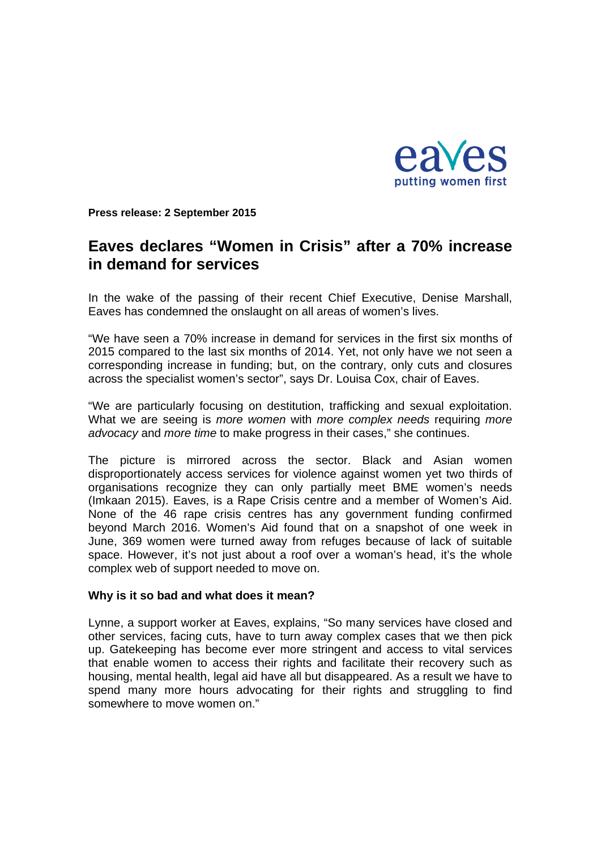

**Press release: 2 September 2015** 

# **Eaves declares "Women in Crisis" after a 70% increase in demand for services**

In the wake of the passing of their recent Chief Executive, Denise Marshall, Eaves has condemned the onslaught on all areas of women's lives.

"We have seen a 70% increase in demand for services in the first six months of 2015 compared to the last six months of 2014. Yet, not only have we not seen a corresponding increase in funding; but, on the contrary, only cuts and closures across the specialist women's sector", says Dr. Louisa Cox, chair of Eaves.

"We are particularly focusing on destitution, trafficking and sexual exploitation. What we are seeing is *more women* with *more complex needs* requiring *more advocacy* and *more time* to make progress in their cases," she continues.

The picture is mirrored across the sector. Black and Asian women disproportionately access services for violence against women yet two thirds of organisations recognize they can only partially meet BME women's needs (Imkaan 2015). Eaves, is a Rape Crisis centre and a member of Women's Aid. None of the 46 rape crisis centres has any government funding confirmed beyond March 2016. Women's Aid found that on a snapshot of one week in June, 369 women were turned away from refuges because of lack of suitable space. However, it's not just about a roof over a woman's head, it's the whole complex web of support needed to move on.

#### **Why is it so bad and what does it mean?**

Lynne, a support worker at Eaves, explains, "So many services have closed and other services, facing cuts, have to turn away complex cases that we then pick up. Gatekeeping has become ever more stringent and access to vital services that enable women to access their rights and facilitate their recovery such as housing, mental health, legal aid have all but disappeared. As a result we have to spend many more hours advocating for their rights and struggling to find somewhere to move women on."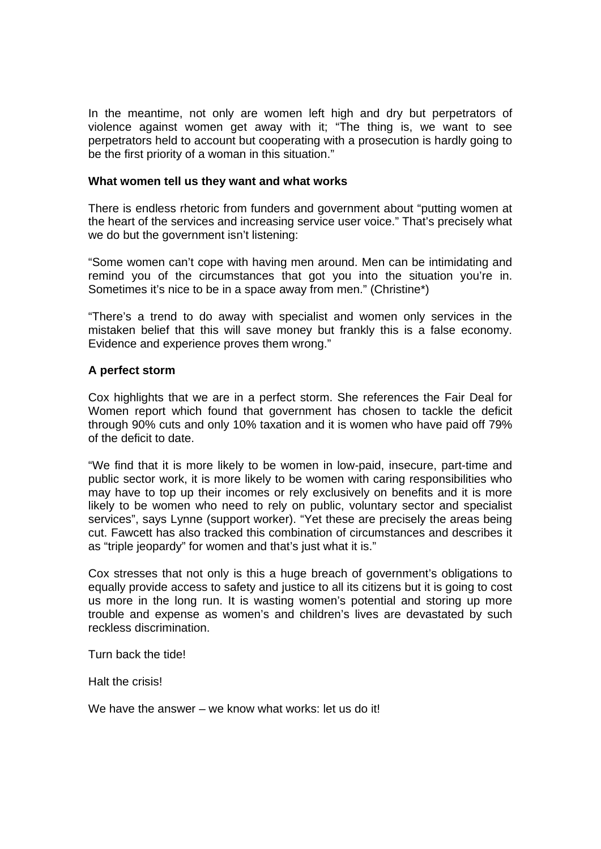In the meantime, not only are women left high and dry but perpetrators of violence against women get away with it; "The thing is, we want to see perpetrators held to account but cooperating with a prosecution is hardly going to be the first priority of a woman in this situation."

#### **What women tell us they want and what works**

There is endless rhetoric from funders and government about "putting women at the heart of the services and increasing service user voice." That's precisely what we do but the government isn't listening:

"Some women can't cope with having men around. Men can be intimidating and remind you of the circumstances that got you into the situation you're in. Sometimes it's nice to be in a space away from men." (Christine\*)

"There's a trend to do away with specialist and women only services in the mistaken belief that this will save money but frankly this is a false economy. Evidence and experience proves them wrong."

#### **A perfect storm**

Cox highlights that we are in a perfect storm. She references the Fair Deal for Women report which found that government has chosen to tackle the deficit through 90% cuts and only 10% taxation and it is women who have paid off 79% of the deficit to date.

"We find that it is more likely to be women in low-paid, insecure, part-time and public sector work, it is more likely to be women with caring responsibilities who may have to top up their incomes or rely exclusively on benefits and it is more likely to be women who need to rely on public, voluntary sector and specialist services", says Lynne (support worker). "Yet these are precisely the areas being cut. Fawcett has also tracked this combination of circumstances and describes it as "triple jeopardy" for women and that's just what it is."

Cox stresses that not only is this a huge breach of government's obligations to equally provide access to safety and justice to all its citizens but it is going to cost us more in the long run. It is wasting women's potential and storing up more trouble and expense as women's and children's lives are devastated by such reckless discrimination.

Turn back the tide!

Halt the crisis!

We have the answer – we know what works: let us do it!